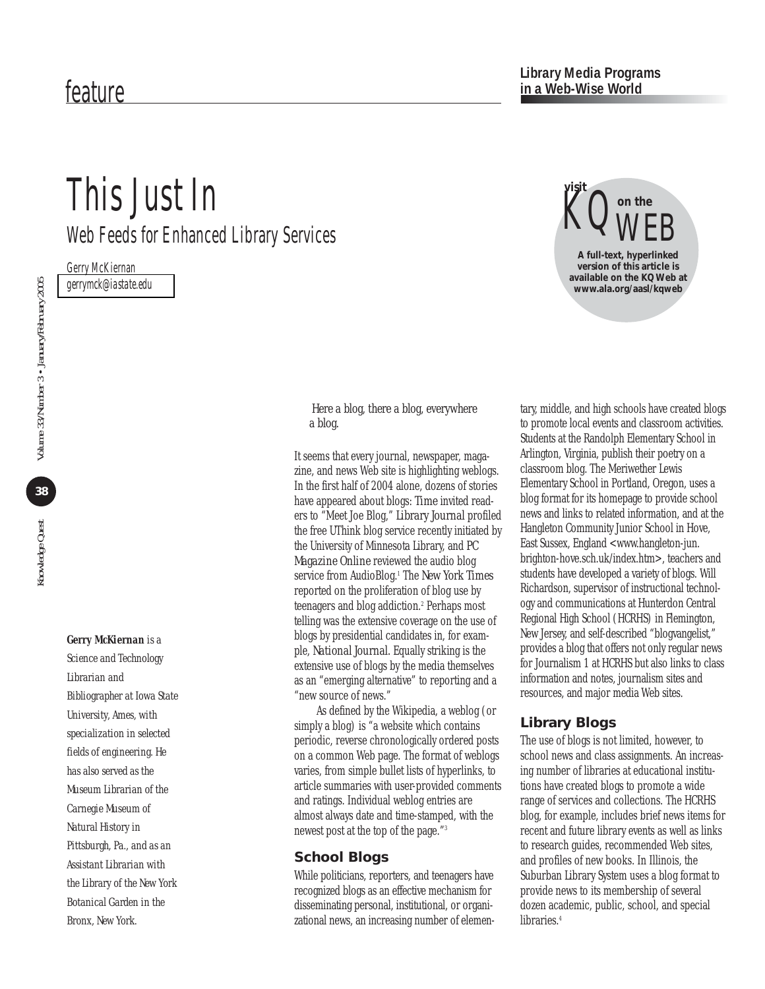# This Just In

Web Feeds for Enhanced Library Services

Gerry McKiernan *[gerrymck@iastate.edu](mailto:gerrymck@iastate.edu)*

 $38<sup>°</sup>$ 

#### *Gerry McKiernan is a*

*Science and Technology Librarian and Bibliographer at Iowa State University, Ames, with specialization in selected fields of engineering. He has also served as the Museum Librarian of the Carnegie Museum of Natural History in Pittsburgh, Pa., and as an Assistant Librarian with the Library of the New York Botanical Garden in the Bronx, New York.* 

#### *Here a blog, there a blog, everywhere a blog.*

It seems that every journal, newspaper, magazine, and news Web site is highlighting weblogs. In the first half of 2004 alone, dozens of stories have appeared about blogs: *Time* invited readers to "Meet Joe Blog," *Library Journal* profiled the free UThink blog service recently initiated by the University of Minnesota Library, and *PC Magazine Online* reviewed the audio blog service from AudioBlog.1 The *New York Times* reported on the proliferation of blog use by teenagers and blog addiction.<sup>2</sup> Perhaps most telling was the extensive coverage on the use of blogs by presidential candidates in, for example, *National Journal.* Equally striking is the extensive use of blogs by the media themselves as an "emerging alternative" to reporting and a "new source of news."

As defined by the Wikipedia, a weblog (or simply a blog) is "a website which contains periodic, reverse chronologically ordered posts on a common Web page. The format of weblogs varies, from simple bullet lists of hyperlinks, to article summaries with user-provided comments and ratings. Individual weblog entries are almost always date and time-stamped, with the newest post at the top of the page."3

#### **School Blogs**

While politicians, reporters, and teenagers have recognized blogs as an effective mechanism for disseminating personal, institutional, or organizational news, an increasing number of elemen-



tary, middle, and high schools have created blogs to promote local events and classroom activities. Students at the Randolph Elementary School in Arlington, Virginia, publish their poetry on a classroom blog. The Meriwether Lewis Elementary School in Portland, Oregon, uses a blog format for its homepage to provide school news and links to related information, and at the Hangleton Community Junior School in Hove, East Sussex, England <www.hangleton-jun. [brighton-hove.sch.uk/index.htm>, teachers and](http://www.hangleton-jun.brighton-hove.sch.uk/index.htm) students have developed a variety of blogs. Will Richardson, supervisor of instructional technology and communications at Hunterdon Central Regional High School (HCRHS) in Flemington, New Jersey, and self-described "blogvangelist," provides a blog that offers not only regular news for Journalism 1 at HCRHS but also links to class information and notes, journalism sites and resources, and major media Web sites.

## **Library Blogs**

The use of blogs is not limited, however, to school news and class assignments. An increasing number of libraries at educational institutions have created blogs to promote a wide range of services and collections. The HCRHS blog, for example, includes brief news items for recent and future library events as well as links to research guides, recommended Web sites, and profiles of new books. In Illinois, the Suburban Library System uses a blog format to provide news to its membership of several dozen academic, public, school, and special libraries.<sup>4</sup>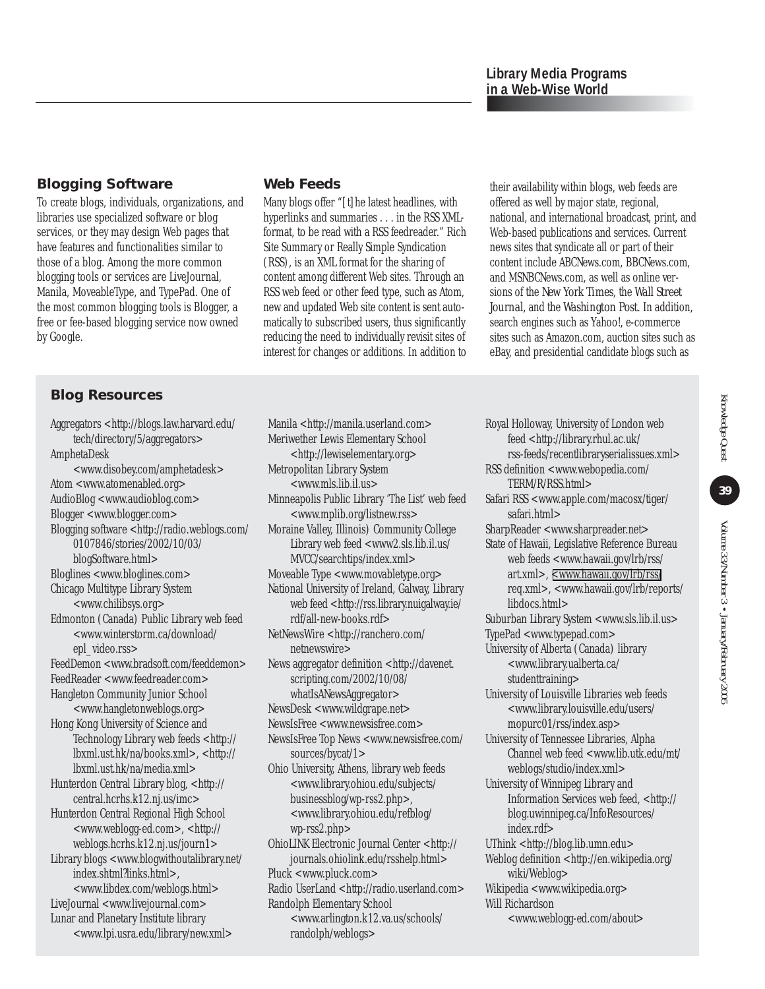## **Blogging Software**

To create blogs, individuals, organizations, and libraries use specialized software or blog services, or they may design Web pages that have features and functionalities similar to those of a blog. Among the more common blogging tools or services are LiveJournal, Manila, MoveableType, and TypePad. One of the most common blogging tools is Blogger, a free or fee-based blogging service now owned by Google.

## **Blog Resources**

[Aggregators <http://blogs.law.harvard.edu/](http://blogs.law.harvard.edu/tech/directory/5/aggregators) tech/directory/5/aggregators> AmphetaDesk [<www.disobey.com/amphetadesk>](http://www.disobey.com/amphetadesk) Atom [<www.atomenabled.org>](http://www.atomenabled.org) AudioBlog [<www.audioblog.com>](http://www.audioblog.com) Blogge[r <www.blogger.com>](http://www.blogger.com) Bl[ogging software <http://radio.weblogs.com/](http://radio.weblogs.com/0107846/stories/2002/10/03/blogSoftware.html) 0107846/stories/2002/10/03/ blogSoftware.html> Bloglines [<www.bloglines.com>](http://www.bloglines.com) Chicago Multitype Library System [<www.chilibsys.org>](http://www.chilibsys.org) Edmonton (Canada) Public Library web feed [<www.winterstorm.ca/download/](http://www.winterstorm.ca/download/epl_video.rss) epl\_video.rss> FeedDemon [<www.bradsoft.com/feeddemon>](http://www.bradsoft.com/feeddemon) FeedReader [<www.feedreader.com>](http://www.feedreader.com) Hangleton Community Junior School [<www.hangletonweblogs.org>](http://www.hangletonweblogs.org) Hong Kong University of Science and Technology Library web feeds <http:// [lbxml.ust.hk/na/books.xml>](http://lbxml.ust.hk/na/books.xml), <http:// [lbxml.ust.hk/na/media.xml>](http://lbxml.ust.hk/na/media.xml) Hunterdon Central Library blog, <http:// [central.hcrhs.k12.nj.us/imc>](http://central.hcrhs.k12.nj.us/imc) Hunterdon Central Regional High School [<www.weblogg-ed.com](http://www.weblogg-ed.com)>, <http:// [weblogs.hcrhs.k12.nj.us/journ1](http://weblogs.hcrhs.k12.nj.us/journ1)> Libr[ary blogs <www.blogwithoutalibrary.net/](http://www.blogwithoutalibrary.net/index.shtml?links.html) index.shtml?links.html>, [<www.libdex.com/weblogs.html](http://www.libdex.com/weblogs.html)> LiveJournal <[www.livejournal.com>](http://www.livejournal.coml) Lunar and Planetary Institute library [<www.lpi.usra.edu/library/new.xml](http://www.lpi.usra.edu/library/new.xml)>

### **Web Feeds**

Many blogs offer "[t]he latest headlines, with hyperlinks and summaries . . . in the RSS XMLformat, to be read with a RSS feedreader." Rich Site Summary or Really Simple Syndication (RSS), is an XML format for the sharing of content among different Web sites. Through an RSS web feed or other feed type, such as Atom, new and updated Web site content is sent automatically to subscribed users, thus significantly reducing the need to individually revisit sites of interest for changes or additions. In addition to their availability within blogs, web feeds are offered as well by major state, regional, national, and international broadcast, print, and Web-based publications and services. Current news sites that syndicate all or part of their content include ABCNews.com, BBCNews.com, and MSNBCNews.com, as well as online versions of the *New York Times,* the *Wall Street Journal,* and the *Washington Post*. In addition, search engines such as Yahoo!, e-commerce sites such as Amazon.com, auction sites such as eBay, and presidential candidate blogs such as

Manila [<http://manila.userland.com>](http://manila.userland.com) Meriwether Lewis Elementary School [<http://lewiselementary.org>](http://lewiselementary.org) Metropolitan Library System [<www.mls.lib.il.us>](http://www.mls.lib.il.us) Minneapolis Public Library 'The List' web feed [<www.mplib.org/listnew.rss>](http://www.mplib.org/listnew.rss) Moraine Valley, Illinois) Community College [Library web feed <www2.sls.lib.il.us/](http://www2.sls.lib.il.us/MVCC/searchtips/index.xml) MVCC/searchtips/index.xml> Moveable Type [<www.movabletype.org](http://www.movabletype.org)> National University of Ireland, Galway, Library [web feed <http://rss.library.nuigalway.ie/](http://rss.library.nuigalway.ie/rdf/all-new-books.rdf) rdf/all-new-books.rdf> NetN[ewsWire <http://ranchero.com/](<http://ranchero.com/netnewswire) netnewswire> New[s aggregator definition <http://davenet.](http://davenet.scripting.com/2002/10/08/whatIsANewsAggregator) scripting.com/2002/10/08/ whatIsANewsAggregator> NewsDesk <[www.wildgrape.net>](http://www.wildgrape.net) NewsIsFree [<www.newsisfree.com](http://www.newsisfree.com)> New[sIsFree Top News <www.newsisfree.com/](http://www.newsisfree.com/sources/bycat/1) sources/bycat/1> Ohio University, Athens, library web feeds [<www.library.ohiou.edu/subjects/](http://www.library.ohiou.edu/subjects/businessblog/wp-rss2.php) businessblog/wp-rss2.php>, [<www.library.ohiou.edu/refblog/](http://www.library.ohiou.edu/refblog/wp-rss2.php)  $wp-rss2.php>$ Ohio[LINK Electronic Journal Center <http://](http://journals.ohiolink.edu/rsshelp.html) journals.ohiolink.edu/rsshelp.html> Pluck [<www.pluck.com>](http://www.pluck.com) Radio UserLand [<http://radio.userland.com>](http://radio.userland.com) Randolph Elementary School [<www.arlington.k12.va.us/schools/](http://www.arlington.k12.va.us/schools/randolph/weblogs) randolph/weblogs>

Royal Holloway, University of London web feed <http://library.rhul.ac.uk/ [rss-feeds/recentlibraryserialissues.xml>](http://library.rhul.ac.uk/rss-feeds/recentlibraryserialissues.xml) RSS [definition <www.webopedia.com/](http://www.webopedia.com/TERM/R/RSS.html) TERM/R/RSS.html> Safar[i RSS <www.apple.com/macosx/tiger/](http://www.apple.com/macosx/tiger/safari.html) safari.html> SharpReader [<www.sharpreader.net>](http://www.sharpreader.net) State of Hawaii, Legislative Reference Bureau [web feeds <www.hawaii.gov/lrb/rss/](http://www.hawaii.gov/lrb/rss/art.xml) art.xml>, [<www.hawaii.gov/lrb/rss/](http://www.hawaii.gov/lrb/rss/req.xml) req.xml[>, <www.hawaii.gov/lrb/reports/](http://www.hawaii.gov/lrb/reports/libdocs.html) libdocs.html> Suburban Library System [<www.sls.lib.il.us>](http://www.sls.lib.il.us) TypePad [<www.typepad.com](http://www.typepad.com)> University of Alberta (Canada) library [<www.library.ualberta.ca/](http://www.library.ualberta.ca/studenttraining) studenttraining> University of Louisville Libraries web feeds [<www.library.louisville.edu/users/](http://www.library.louisville.edu/users/mopurc01/rss/index.asp) mopurc01/rss/index.asp> University of Tennessee Libraries, Alpha [Channel web feed <www.lib.utk.edu/mt/](http://www.lib.utk.edu/mt/weblogs/studio/index.xml) weblogs/studio/index.xml> University of Winnipeg Library and Information Services web feed, <http:// [blog.uwinnipeg.ca/InfoResources/](http://blog.uwinnipeg.ca/InfoResources/index.rdf) index.rdf> UThink <[http://blog.lib.umn.edu>](http://blog.lib.umn.edu) Webl[og definition <http://en.wikipedia.org/](http://en.wikipedia.org/wiki/Weblog) wiki/Weblog> Wikipedia [<www.wikipedia.org](http://www.wikipedia.org)> Will Richardson [<www.weblogg-ed.com/about>](http://www.weblogg-ed.com/about)

39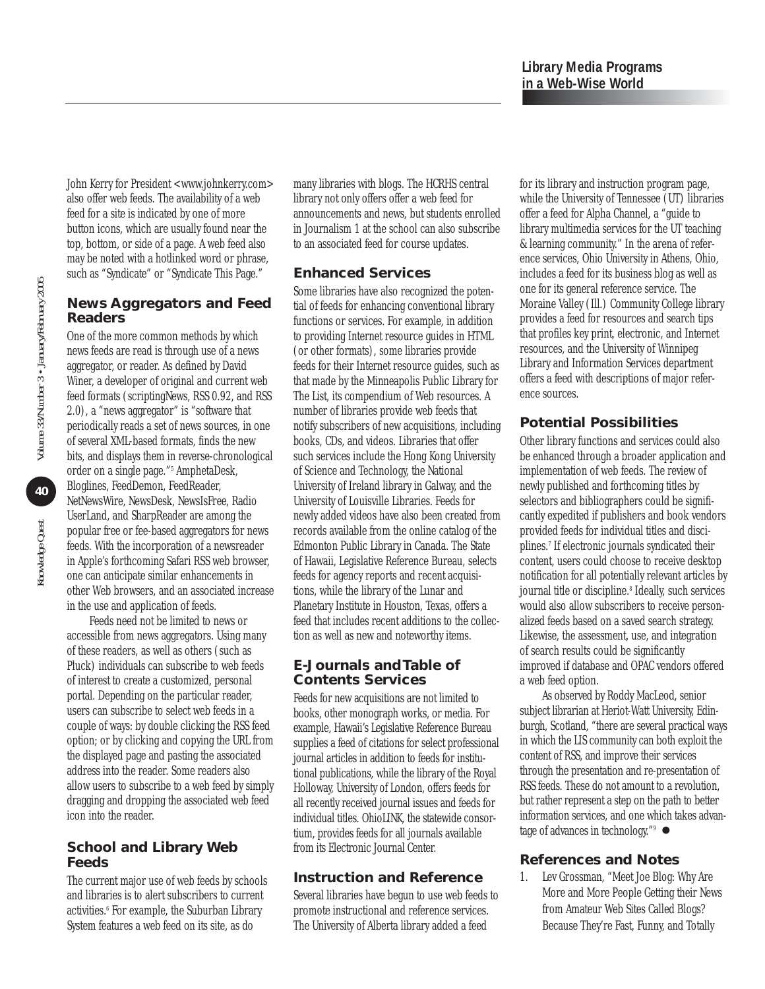John Kerry for President <[www.johnkerry.com](http://www.johnkerry.com)> also offer web feeds. The availability of a web feed for a site is indicated by one of more button icons, which are usually found near the top, bottom, or side of a page. A web feed also may be noted with a hotlinked word or phrase, such as "Syndicate" or "Syndicate This Page."

## **News Aggregators and Feed Readers**

One of the more common methods by which news feeds are read is through use of a news aggregator, or reader. As defined by David Winer, a developer of original and current web feed formats (scriptingNews, RSS 0.92, and RSS 2.0), a "news aggregator" is "software that periodically reads a set of news sources, in one of several XML-based formats, finds the new bits, and displays them in reverse-chronological order on a single page."5 AmphetaDesk, Bloglines, FeedDemon, FeedReader, NetNewsWire, NewsDesk, NewsIsFree, Radio UserLand, and SharpReader are among the popular free or fee-based aggregators for news feeds. With the incorporation of a newsreader in Apple's forthcoming Safari RSS web browser, one can anticipate similar enhancements in other Web browsers, and an associated increase in the use and application of feeds.

Feeds need not be limited to news or accessible from news aggregators. Using many of these readers, as well as others (such as Pluck) individuals can subscribe to web feeds of interest to create a customized, personal portal. Depending on the particular reader, users can subscribe to select web feeds in a couple of ways: by double clicking the RSS feed option; or by clicking and copying the URL from the displayed page and pasting the associated address into the reader. Some readers also allow users to subscribe to a web feed by simply dragging and dropping the associated web feed icon into the reader.

#### **School and Library Web Feeds**

The current major use of web feeds by schools and libraries is to alert subscribers to current activities.<sup>6</sup> For example, the Suburban Library System features a web feed on its site, as do

many libraries with blogs. The HCRHS central library not only offers offer a web feed for announcements and news, but students enrolled in Journalism 1 at the school can also subscribe to an associated feed for course updates.

#### **Enhanced Services**

Some libraries have also recognized the potential of feeds for enhancing conventional library functions or services. For example, in addition to providing Internet resource guides in HTML (or other formats), some libraries provide feeds for their Internet resource guides, such as that made by the Minneapolis Public Library for The List, its compendium of Web resources. A number of libraries provide web feeds that notify subscribers of new acquisitions, including books, CDs, and videos. Libraries that offer such services include the Hong Kong University of Science and Technology, the National University of Ireland library in Galway, and the University of Louisville Libraries. Feeds for newly added videos have also been created from records available from the online catalog of the Edmonton Public Library in Canada. The State of Hawaii, Legislative Reference Bureau, selects feeds for agency reports and recent acquisitions, while the library of the Lunar and Planetary Institute in Houston, Texas, offers a feed that includes recent additions to the collection as well as new and noteworthy items.

#### **E-Journals and Table of Contents Services**

Feeds for new acquisitions are not limited to books, other monograph works, or media. For example, Hawaii's Legislative Reference Bureau supplies a feed of citations for select professional journal articles in addition to feeds for institutional publications, while the library of the Royal Holloway, University of London, offers feeds for all recently received journal issues and feeds for individual titles. OhioLINK, the statewide consortium, provides feeds for all journals available from its Electronic Journal Center.

## **Instruction and Reference**

Several libraries have begun to use web feeds to promote instructional and reference services. The University of Alberta library added a feed

for its library and instruction program page, while the University of Tennessee (UT) libraries offer a feed for Alpha Channel, a "guide to library multimedia services for the UT teaching & learning community." In the arena of reference services, Ohio University in Athens, Ohio, includes a feed for its business blog as well as one for its general reference service. The Moraine Valley (Ill.) Community College library provides a feed for resources and search tips that profiles key print, electronic, and Internet resources, and the University of Winnipeg Library and Information Services department offers a feed with descriptions of major reference sources.

# **Potential Possibilities**

Other library functions and services could also be enhanced through a broader application and implementation of web feeds. The review of newly published and forthcoming titles by selectors and bibliographers could be significantly expedited if publishers and book vendors provided feeds for individual titles and disciplines.7 If electronic journals syndicated their content, users could choose to receive desktop notification for all potentially relevant articles by journal title or discipline.<sup>8</sup> Ideally, such services would also allow subscribers to receive personalized feeds based on a saved search strategy. Likewise, the assessment, use, and integration of search results could be significantly improved if database and OPAC vendors offered a web feed option.

As observed by Roddy MacLeod, senior subject librarian at Heriot-Watt University, Edinburgh, Scotland, "there are several practical ways in which the LIS community can both exploit the content of RSS, and improve their services through the presentation and re-presentation of RSS feeds. These do not amount to a revolution, but rather represent a step on the path to better information services, and one which takes advantage of advances in technology."  $\bullet$ 

## **References and Notes**

1. Lev Grossman, "Meet Joe Blog: Why Are More and More People Getting their News from Amateur Web Sites Called Blogs? Because They're Fast, Funny, and Totally